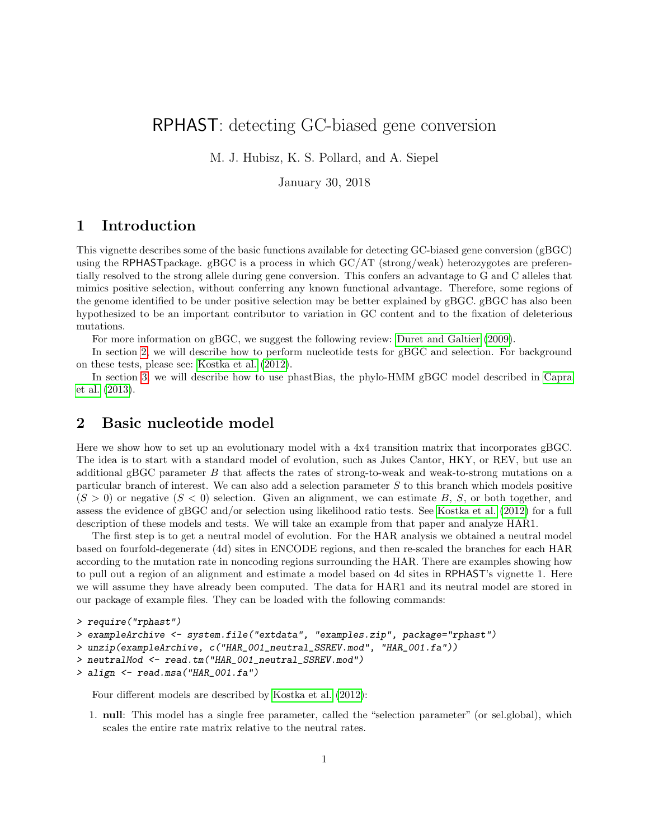# RPHAST: detecting GC-biased gene conversion

M. J. Hubisz, K. S. Pollard, and A. Siepel

January 30, 2018

## 1 Introduction

This vignette describes some of the basic functions available for detecting GC-biased gene conversion (gBGC) using the RPHASTpackage. gBGC is a process in which GC/AT (strong/weak) heterozygotes are preferentially resolved to the strong allele during gene conversion. This confers an advantage to G and C alleles that mimics positive selection, without conferring any known functional advantage. Therefore, some regions of the genome identified to be under positive selection may be better explained by gBGC. gBGC has also been hypothesized to be an important contributor to variation in GC content and to the fixation of deleterious mutations.

For more information on gBGC, we suggest the following review: [Duret and Galtier](#page-8-0) [\(2009\)](#page-8-0).

In section [2,](#page-0-0) we will describe how to perform nucleotide tests for gBGC and selection. For background on these tests, please see: [Kostka et al.](#page-8-1) [\(2012\)](#page-8-1).

In section [3,](#page-2-0) we will describe how to use phastBias, the phylo-HMM gBGC model described in [Capra](#page-8-2) [et al.](#page-8-2) [\(2013\)](#page-8-2).

### <span id="page-0-0"></span>2 Basic nucleotide model

Here we show how to set up an evolutionary model with a 4x4 transition matrix that incorporates gBGC. The idea is to start with a standard model of evolution, such as Jukes Cantor, HKY, or REV, but use an additional gBGC parameter B that affects the rates of strong-to-weak and weak-to-strong mutations on a particular branch of interest. We can also add a selection parameter S to this branch which models positive  $(S > 0)$  or negative  $(S < 0)$  selection. Given an alignment, we can estimate B, S, or both together, and assess the evidence of gBGC and/or selection using likelihood ratio tests. See [Kostka et al.](#page-8-1) [\(2012\)](#page-8-1) for a full description of these models and tests. We will take an example from that paper and analyze HAR1.

The first step is to get a neutral model of evolution. For the HAR analysis we obtained a neutral model based on fourfold-degenerate (4d) sites in ENCODE regions, and then re-scaled the branches for each HAR according to the mutation rate in noncoding regions surrounding the HAR. There are examples showing how to pull out a region of an alignment and estimate a model based on 4d sites in RPHAST's vignette 1. Here we will assume they have already been computed. The data for HAR1 and its neutral model are stored in our package of example files. They can be loaded with the following commands:

```
> require("rphast")
> exampleArchive <- system.file("extdata", "examples.zip", package="rphast")
> unzip(exampleArchive, c("HAR_001_neutral_SSREV.mod", "HAR_001.fa"))
> neutralMod <- read.tm("HAR_001_neutral_SSREV.mod")
> align <- read.msa("HAR_001.fa")
```
Four different models are described by [Kostka et al.](#page-8-1) [\(2012\)](#page-8-1):

1. null: This model has a single free parameter, called the "selection parameter" (or sel.global), which scales the entire rate matrix relative to the neutral rates.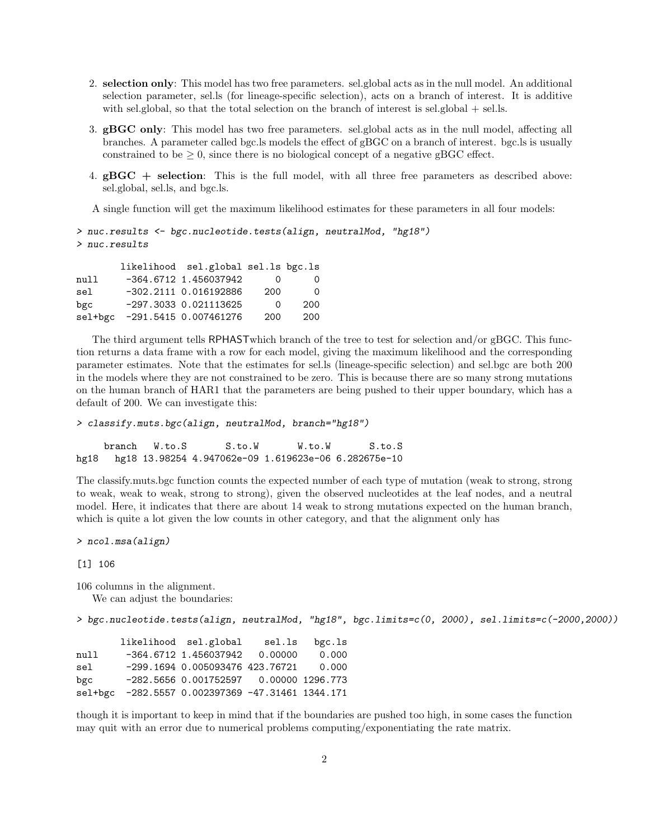- 2. selection only: This model has two free parameters. sel.global acts as in the null model. An additional selection parameter, sel.ls (for lineage-specific selection), acts on a branch of interest. It is additive with sel.global, so that the total selection on the branch of interest is sel.global  $+$  sel.ls.
- 3. gBGC only: This model has two free parameters. sel.global acts as in the null model, affecting all branches. A parameter called bgc.ls models the effect of gBGC on a branch of interest. bgc.ls is usually constrained to be  $\geq 0$ , since there is no biological concept of a negative gBGC effect.
- 4. gBGC + selection: This is the full model, with all three free parameters as described above: sel.global, sel.ls, and bgc.ls.

A single function will get the maximum likelihood estimates for these parameters in all four models:

```
> nuc.results <- bgc.nucleotide.tests(align, neutralMod, "hg18")
> nuc.results
```

|      | likelihood sel.global sel.ls bgc.ls |                   |          |
|------|-------------------------------------|-------------------|----------|
| mull | $-364.6712$ 1.456037942             | $\mathbf{\Omega}$ | $\Omega$ |
| sel  | $-302.2111$ 0.016192886             | 200               | ∩        |
| bgc  | $-297.3033$ 0.021113625             | ∩                 | 200      |
|      | sel+bgc -291.5415 0.007461276       | 200               | 200      |

The third argument tells RPHASTwhich branch of the tree to test for selection and/or gBGC. This function returns a data frame with a row for each model, giving the maximum likelihood and the corresponding parameter estimates. Note that the estimates for sel.ls (lineage-specific selection) and sel.bgc are both 200 in the models where they are not constrained to be zero. This is because there are so many strong mutations on the human branch of HAR1 that the parameters are being pushed to their upper boundary, which has a default of 200. We can investigate this:

```
> classify.muts.bgc(align, neutralMod, branch="hg18")
```
branch W.to.S S.to.W W.to.W S.to.S hg18 hg18 13.98254 4.947062e-09 1.619623e-06 6.282675e-10

The classify.muts.bgc function counts the expected number of each type of mutation (weak to strong, strong to weak, weak to weak, strong to strong), given the observed nucleotides at the leaf nodes, and a neutral model. Here, it indicates that there are about 14 weak to strong mutations expected on the human branch, which is quite a lot given the low counts in other category, and that the alignment only has

> ncol.msa(align)

[1] 106

106 columns in the alignment.

We can adjust the boundaries:

> bgc.nucleotide.tests(align, neutralMod, "hg18", bgc.limits=c(0, 2000), sel.limits=c(-2000,2000))

|      | likelihood sel.global                            | sel.ls | $bgc.$ ls |
|------|--------------------------------------------------|--------|-----------|
| null | $-364.6712$ 1.456037942 0.00000                  |        | 0.000     |
| sel  | -299.1694 0.005093476 423.76721                  |        | 0.000     |
| bgc  | $-282.5656$ 0.001752597 0.00000 1296.773         |        |           |
|      | sel+bgc -282.5557 0.002397369 -47.31461 1344.171 |        |           |

though it is important to keep in mind that if the boundaries are pushed too high, in some cases the function may quit with an error due to numerical problems computing/exponentiating the rate matrix.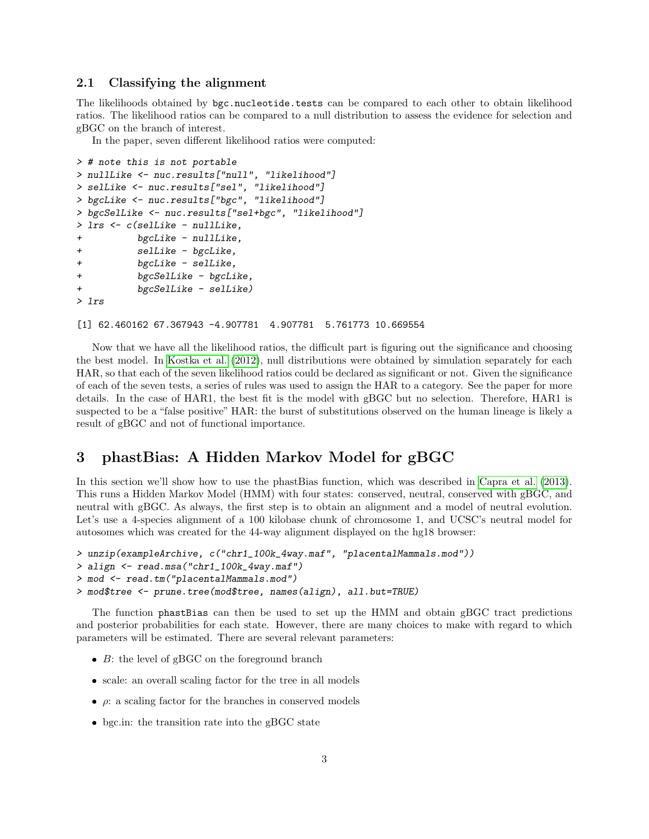#### 2.1 Classifying the alignment

The likelihoods obtained by bgc.nucleotide.tests can be compared to each other to obtain likelihood ratios. The likelihood ratios can be compared to a null distribution to assess the evidence for selection and gBGC on the branch of interest.

In the paper, seven different likelihood ratios were computed:

```
> # note this is not portable
> nullLike <- nuc.results["null", "likelihood"]
> selLike <- nuc.results["sel", "likelihood"]
> bgcLike <- nuc.results["bgc", "likelihood"]
> bgcSelLike <- nuc.results["sel+bgc", "likelihood"]
> lrs <- c(selLike - nullLike,
+ bgcLike - nullLike,
+ selLike - bgcLike,
+ bgcLike - selLike,
+ bgcSelLike - bgcLike,
+ bgcSelLike - selLike)
> lrs
```
[1] 62.460162 67.367943 -4.907781 4.907781 5.761773 10.669554

Now that we have all the likelihood ratios, the difficult part is figuring out the significance and choosing the best model. In [Kostka et al.](#page-8-1) [\(2012\)](#page-8-1), null distributions were obtained by simulation separately for each HAR, so that each of the seven likelihood ratios could be declared as significant or not. Given the significance of each of the seven tests, a series of rules was used to assign the HAR to a category. See the paper for more details. In the case of HAR1, the best fit is the model with gBGC but no selection. Therefore, HAR1 is suspected to be a "false positive" HAR: the burst of substitutions observed on the human lineage is likely a result of gBGC and not of functional importance.

### <span id="page-2-0"></span>3 phastBias: A Hidden Markov Model for gBGC

In this section we'll show how to use the phastBias function, which was described in [Capra et al.](#page-8-2) [\(2013\)](#page-8-2). This runs a Hidden Markov Model (HMM) with four states: conserved, neutral, conserved with gBGC, and neutral with gBGC. As always, the first step is to obtain an alignment and a model of neutral evolution. Let's use a 4-species alignment of a 100 kilobase chunk of chromosome 1, and UCSC's neutral model for autosomes which was created for the 44-way alignment displayed on the hg18 browser:

```
> unzip(exampleArchive, c("chr1_100k_4way.maf", "placentalMammals.mod"))
> align <- read.msa("chr1_100k_4way.maf")
> mod <- read.tm("placentalMammals.mod")
> mod$tree <- prune.tree(mod$tree, names(align), all.but=TRUE)
```
The function phastBias can then be used to set up the HMM and obtain gBGC tract predictions and posterior probabilities for each state. However, there are many choices to make with regard to which parameters will be estimated. There are several relevant parameters:

- $\bullet$  B: the level of gBGC on the foreground branch
- scale: an overall scaling factor for the tree in all models
- $\rho$ : a scaling factor for the branches in conserved models
- bgc.in: the transition rate into the gBGC state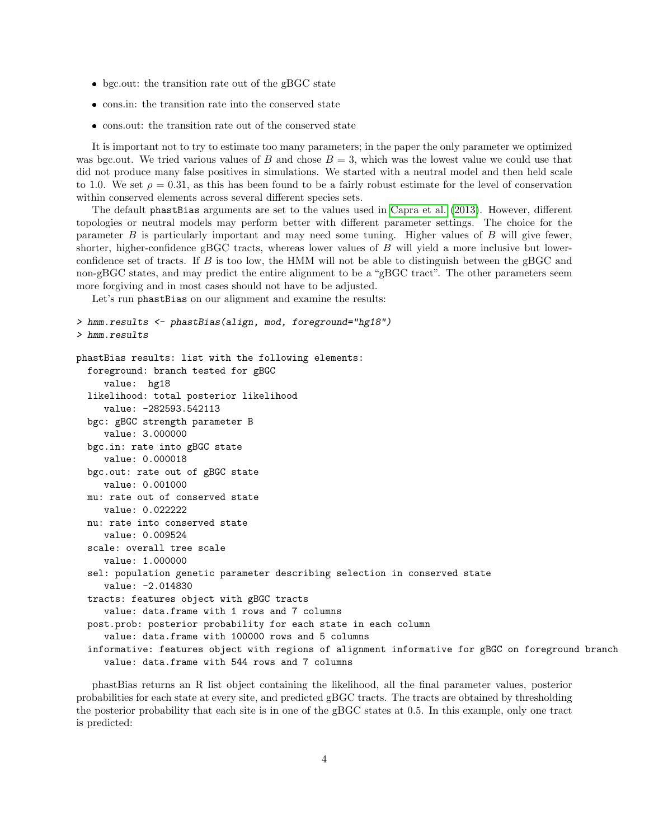- bgc.out: the transition rate out of the gBGC state
- $\bullet\,$  cons.in: the transition rate into the conserved state
- cons.out: the transition rate out of the conserved state

It is important not to try to estimate too many parameters; in the paper the only parameter we optimized was bgc.out. We tried various values of B and chose  $B = 3$ , which was the lowest value we could use that did not produce many false positives in simulations. We started with a neutral model and then held scale to 1.0. We set  $\rho = 0.31$ , as this has been found to be a fairly robust estimate for the level of conservation within conserved elements across several different species sets.

The default phastBias arguments are set to the values used in [Capra et al.](#page-8-2) [\(2013\)](#page-8-2). However, different topologies or neutral models may perform better with different parameter settings. The choice for the parameter B is particularly important and may need some tuning. Higher values of B will give fewer, shorter, higher-confidence gBGC tracts, whereas lower values of B will yield a more inclusive but lowerconfidence set of tracts. If  $B$  is too low, the HMM will not be able to distinguish between the gBGC and non-gBGC states, and may predict the entire alignment to be a "gBGC tract". The other parameters seem more forgiving and in most cases should not have to be adjusted.

Let's run phastBias on our alignment and examine the results:

```
> hmm.results <- phastBias(align, mod, foreground="hg18")
> hmm.results
phastBias results: list with the following elements:
  foreground: branch tested for gBGC
     value: hg18
  likelihood: total posterior likelihood
     value: -282593.542113
  bgc: gBGC strength parameter B
     value: 3.000000
  bgc.in: rate into gBGC state
     value: 0.000018
  bgc.out: rate out of gBGC state
     value: 0.001000
  mu: rate out of conserved state
     value: 0.022222
  nu: rate into conserved state
     value: 0.009524
  scale: overall tree scale
     value: 1.000000
  sel: population genetic parameter describing selection in conserved state
     value: -2.014830
  tracts: features object with gBGC tracts
     value: data.frame with 1 rows and 7 columns
  post.prob: posterior probability for each state in each column
     value: data.frame with 100000 rows and 5 columns
  informative: features object with regions of alignment informative for gBGC on foreground branch
     value: data.frame with 544 rows and 7 columns
```
phastBias returns an R list object containing the likelihood, all the final parameter values, posterior probabilities for each state at every site, and predicted gBGC tracts. The tracts are obtained by thresholding the posterior probability that each site is in one of the gBGC states at 0.5. In this example, only one tract is predicted: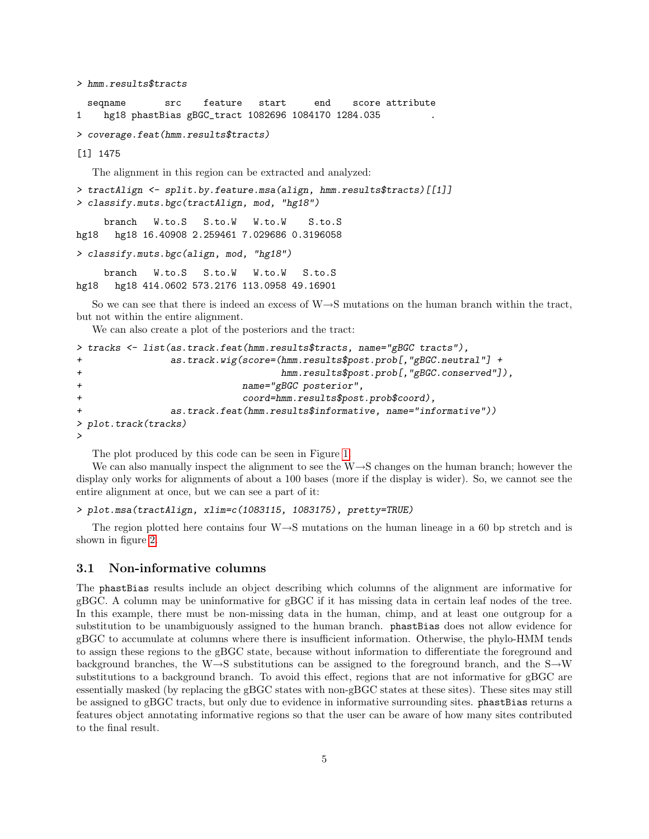> hmm.results\$tracts

seqname src feature start end score attribute 1 hg18 phastBias gBGC\_tract 1082696 1084170 1284.035 .

> coverage.feat(hmm.results\$tracts)

[1] 1475

The alignment in this region can be extracted and analyzed:

> tractAlign <- split.by.feature.msa(align, hmm.results\$tracts)[[1]] > classify.muts.bgc(tractAlign, mod, "hg18") branch W.to.S S.to.W W.to.W S.to.S hg18 hg18 16.40908 2.259461 7.029686 0.3196058

> classify.muts.bgc(align, mod, "hg18")

branch W.to.S S.to.W W.to.W S.to.S hg18 hg18 414.0602 573.2176 113.0958 49.16901

So we can see that there is indeed an excess of  $W\rightarrow S$  mutations on the human branch within the tract, but not within the entire alignment.

We can also create a plot of the posteriors and the tract:

```
> tracks <- list(as.track.feat(hmm.results$tracts, name="gBGC tracts"),
+ as.track.wig(score=(hmm.results$post.prob[,"gBGC.neutral"] +
+ hmm.results$post.prob[,"gBGC.conserved"]),
+ name="gBGC posterior",
+ coord=hmm.results$post.prob$coord),
+ as.track.feat(hmm.results$informative, name="informative"))
> plot.track(tracks)
>
```
The plot produced by this code can be seen in Figure [1.](#page-9-0)

We can also manually inspect the alignment to see the W→S changes on the human branch; however the display only works for alignments of about a 100 bases (more if the display is wider). So, we cannot see the entire alignment at once, but we can see a part of it:

```
> plot.msa(tractAlign, xlim=c(1083115, 1083175), pretty=TRUE)
```
The region plotted here contains four  $W\rightarrow S$  mutations on the human lineage in a 60 bp stretch and is shown in figure [2.](#page-10-0)

#### 3.1 Non-informative columns

The phastBias results include an object describing which columns of the alignment are informative for gBGC. A column may be uninformative for gBGC if it has missing data in certain leaf nodes of the tree. In this example, there must be non-missing data in the human, chimp, and at least one outgroup for a substitution to be unambiguously assigned to the human branch. phastBias does not allow evidence for gBGC to accumulate at columns where there is insufficient information. Otherwise, the phylo-HMM tends to assign these regions to the gBGC state, because without information to differentiate the foreground and background branches, the W→S substitutions can be assigned to the foreground branch, and the S→W substitutions to a background branch. To avoid this effect, regions that are not informative for gBGC are essentially masked (by replacing the gBGC states with non-gBGC states at these sites). These sites may still be assigned to gBGC tracts, but only due to evidence in informative surrounding sites. phastBias returns a features object annotating informative regions so that the user can be aware of how many sites contributed to the final result.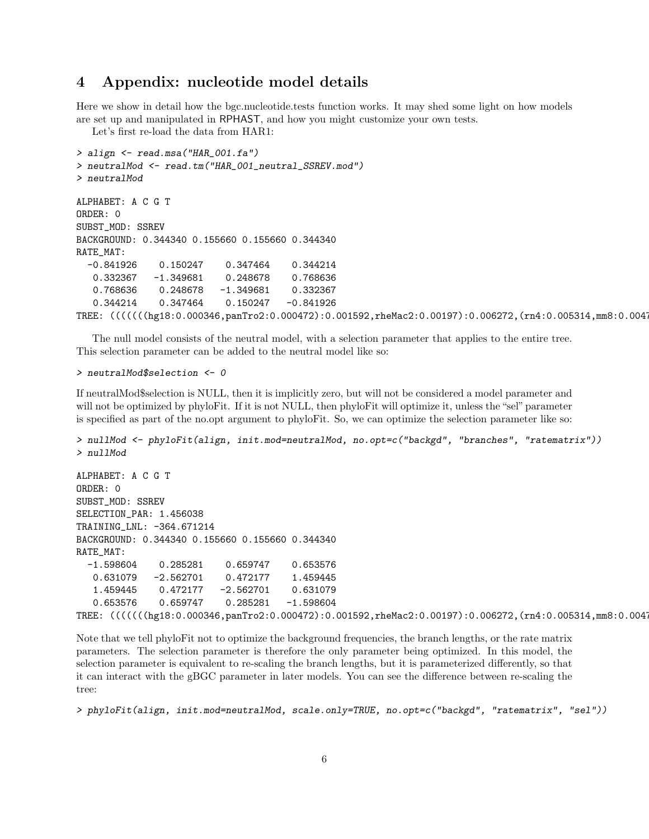### 4 Appendix: nucleotide model details

Here we show in detail how the bgc.nucleotide.tests function works. It may shed some light on how models are set up and manipulated in RPHAST, and how you might customize your own tests.

Let's first re-load the data from HAR1:

```
> align <- read.msa("HAR_001.fa")
> neutralMod <- read.tm("HAR_001_neutral_SSREV.mod")
> neutralMod
ALPHABET: A C G T
ORDER: 0
SUBST_MOD: SSREV
BACKGROUND: 0.344340 0.155660 0.155660 0.344340
RATE_MAT:
  -0.841926 0.150247 0.347464 0.344214
  0.332367 -1.349681 0.248678 0.768636
  0.768636 0.248678 -1.349681 0.332367
  0.344214 0.347464 0.150247 -0.841926
TREE: ((((((hg18:0.000346,panTro2:0.000472):0.001592,rheMac2:0.00197):0.006272,(rn4:0.005314,mm8:0.004
```
The null model consists of the neutral model, with a selection parameter that applies to the entire tree. This selection parameter can be added to the neutral model like so:

#### > neutralMod\$selection <- 0

If neutralMod\$selection is NULL, then it is implicitly zero, but will not be considered a model parameter and will not be optimized by phyloFit. If it is not NULL, then phyloFit will optimize it, unless the "sel" parameter is specified as part of the no.opt argument to phyloFit. So, we can optimize the selection parameter like so:

```
> nullMod <- phyloFit(align, init.mod=neutralMod, no.opt=c("backgd", "branches", "ratematrix"))
> nullMod
```

```
ALPHABET: A C G T
ORDER: 0
SUBST_MOD: SSREV
SELECTION_PAR: 1.456038
TRAINING_LNL: -364.671214
BACKGROUND: 0.344340 0.155660 0.155660 0.344340
RATE_MAT:
  -1.598604 0.285281 0.659747 0.653576
  0.631079 -2.562701 0.472177 1.459445
   1.459445 0.472177 -2.562701 0.631079
   0.653576 0.659747 0.285281 -1.598604
TREE: (((((((hg18:0.000346,panTro2:0.000472):0.001592,rheMac2:0.00197):0.006272,(rn4:0.005314,mm8:0.0047 ):0.0
```
Note that we tell phyloFit not to optimize the background frequencies, the branch lengths, or the rate matrix parameters. The selection parameter is therefore the only parameter being optimized. In this model, the selection parameter is equivalent to re-scaling the branch lengths, but it is parameterized differently, so that it can interact with the gBGC parameter in later models. You can see the difference between re-scaling the tree:

> phyloFit(align, init.mod=neutralMod, scale.only=TRUE, no.opt=c("backgd", "ratematrix", "sel"))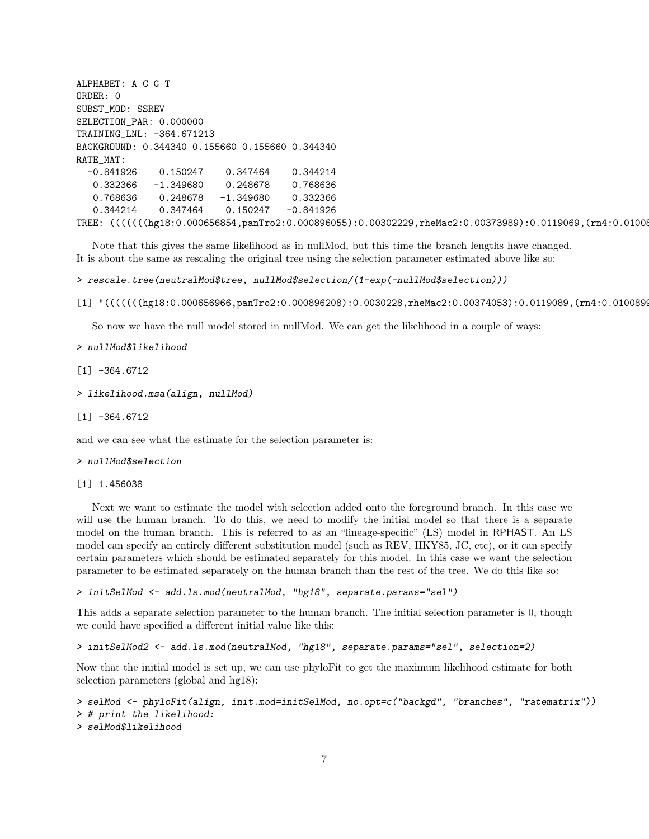ALPHABET: A C G T ORDER: 0 SUBST\_MOD: SSREV SELECTION\_PAR: 0.000000 TRAINING\_LNL: -364.671213 BACKGROUND: 0.344340 0.155660 0.155660 0.344340 RATE\_MAT: -0.841926 0.150247 0.347464 0.344214 0.332366 -1.349680 0.248678 0.768636 0.768636 0.248678 -1.349680 0.332366 0.344214 0.347464 0.150247 -0.841926 TREE: ((((((hg18:0.000656854,panTro2:0.000896055):0.00302229,rheMac2:0.00373989):0.0119069,(rn4:0.01008

Note that this gives the same likelihood as in nullMod, but this time the branch lengths have changed. It is about the same as rescaling the original tree using the selection parameter estimated above like so:

```
> rescale.tree(neutralMod$tree, nullMod$selection/(1-exp(-nullMod$selection)))
```
 $[1]$  "((((((hg18:0.000656966,panTro2:0.000896208):0.0030228,rheMac2:0.00374053):0.0119089,(rn4:0.0100899

So now we have the null model stored in nullMod. We can get the likelihood in a couple of ways:

> nullMod\$likelihood

 $[1] -364.6712$ 

> likelihood.msa(align, nullMod)

 $\lceil 1 \rceil$  -364.6712

and we can see what the estimate for the selection parameter is:

#### > nullMod\$selection

[1] 1.456038

Next we want to estimate the model with selection added onto the foreground branch. In this case we will use the human branch. To do this, we need to modify the initial model so that there is a separate model on the human branch. This is referred to as an "lineage-specific" (LS) model in RPHAST. An LS model can specify an entirely different substitution model (such as REV, HKY85, JC, etc), or it can specify certain parameters which should be estimated separately for this model. In this case we want the selection parameter to be estimated separately on the human branch than the rest of the tree. We do this like so:

> initSelMod <- add.ls.mod(neutralMod, "hg18", separate.params="sel")

This adds a separate selection parameter to the human branch. The initial selection parameter is 0, though we could have specified a different initial value like this:

```
> initSelMod2 <- add.ls.mod(neutralMod, "hg18", separate.params="sel", selection=2)
```
Now that the initial model is set up, we can use phyloFit to get the maximum likelihood estimate for both selection parameters (global and hg18):

```
> selMod <- phyloFit(align, init.mod=initSelMod, no.opt=c("backgd", "branches", "ratematrix"))
> # print the likelihood:
> selMod$likelihood
```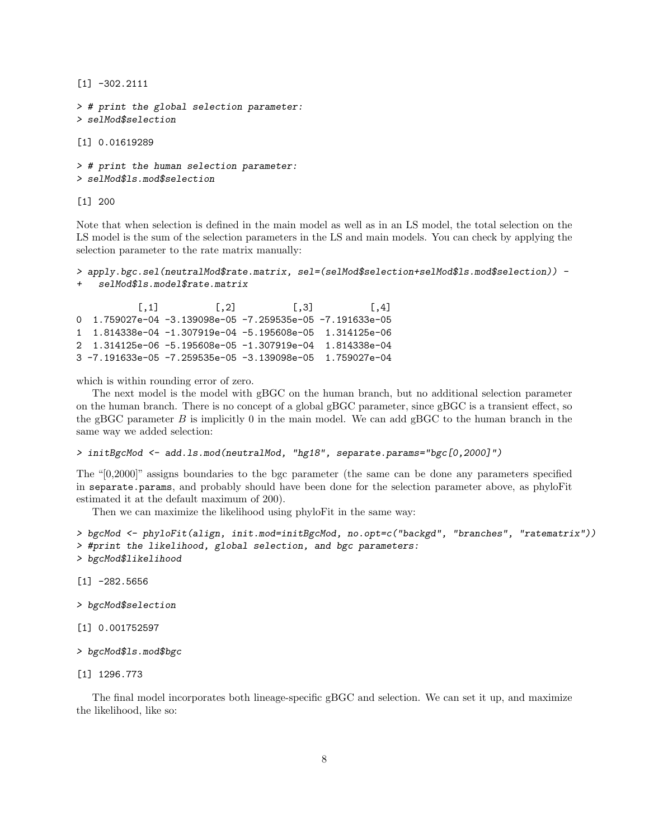```
[1] -302.2111
> # print the global selection parameter:
> selMod$selection
[1] 0.01619289
> # print the human selection parameter:
> selMod$ls.mod$selection
```
[1] 200

Note that when selection is defined in the main model as well as in an LS model, the total selection on the LS model is the sum of the selection parameters in the LS and main models. You can check by applying the selection parameter to the rate matrix manually:

```
> apply.bgc.sel(neutralMod$rate.matrix, sel=(selMod$selection+selMod$ls.mod$selection)) -
   selMod$ls.model$rate.matrix
```
 $[0,1]$   $[0,2]$   $[0,3]$   $[0,4]$ 0 1.759027e-04 -3.139098e-05 -7.259535e-05 -7.191633e-05 1 1.814338e-04 -1.307919e-04 -5.195608e-05 1.314125e-06 2 1.314125e-06 -5.195608e-05 -1.307919e-04 1.814338e-04 3 -7.191633e-05 -7.259535e-05 -3.139098e-05 1.759027e-04

which is within rounding error of zero.

The next model is the model with gBGC on the human branch, but no additional selection parameter on the human branch. There is no concept of a global gBGC parameter, since gBGC is a transient effect, so the gBGC parameter  $B$  is implicitly 0 in the main model. We can add gBGC to the human branch in the same way we added selection:

```
> initBgcMod <- add.ls.mod(neutralMod, "hg18", separate.params="bgc[0,2000]")
```
The "[0,2000]" assigns boundaries to the bgc parameter (the same can be done any parameters specified in separate.params, and probably should have been done for the selection parameter above, as phyloFit estimated it at the default maximum of 200).

Then we can maximize the likelihood using phyloFit in the same way:

```
> bgcMod <- phyloFit(align, init.mod=initBgcMod, no.opt=c("backgd", "branches", "ratematrix"))
> #print the likelihood, global selection, and bgc parameters:
> bgcMod$likelihood
```
 $[1] -282.5656$ 

> bgcMod\$selection

[1] 0.001752597

```
> bgcMod$ls.mod$bgc
```
[1] 1296.773

The final model incorporates both lineage-specific gBGC and selection. We can set it up, and maximize the likelihood, like so: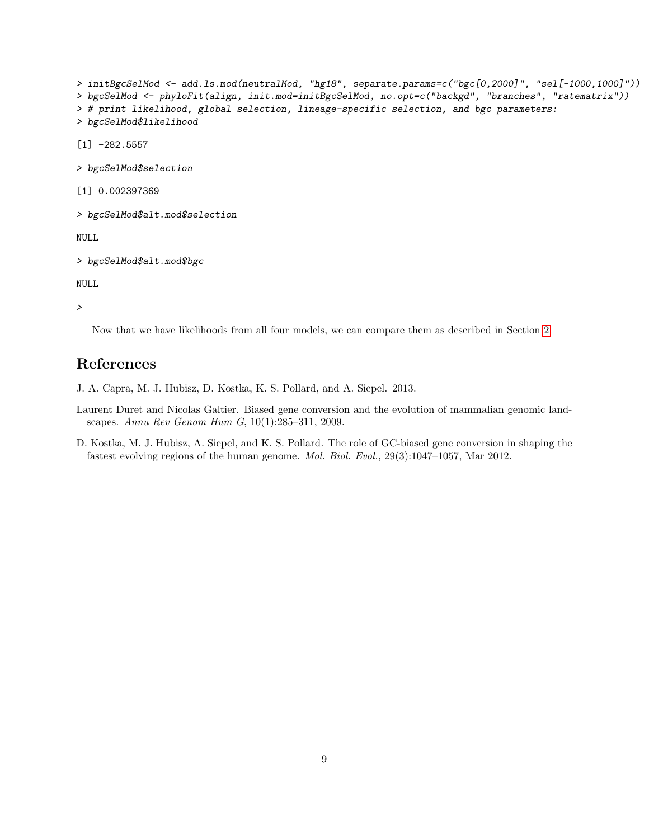```
> initBgcSelMod <- add.ls.mod(neutralMod, "hg18", separate.params=c("bgc[0,2000]", "sel[-1000,1000]"))
> bgcSelMod <- phyloFit(align, init.mod=initBgcSelMod, no.opt=c("backgd", "branches", "ratematrix"))
> # print likelihood, global selection, lineage-specific selection, and bgc parameters:
> bgcSelMod$likelihood
[1] -282.5557
> bgcSelMod$selection
[1] 0.002397369
> bgcSelMod$alt.mod$selection
```
NULL

```
> bgcSelMod$alt.mod$bgc
```
NULL

>

Now that we have likelihoods from all four models, we can compare them as described in Section [2.](#page-0-0)

# References

<span id="page-8-2"></span>J. A. Capra, M. J. Hubisz, D. Kostka, K. S. Pollard, and A. Siepel. 2013.

- <span id="page-8-0"></span>Laurent Duret and Nicolas Galtier. Biased gene conversion and the evolution of mammalian genomic landscapes. Annu Rev Genom Hum G, 10(1):285–311, 2009.
- <span id="page-8-1"></span>D. Kostka, M. J. Hubisz, A. Siepel, and K. S. Pollard. The role of GC-biased gene conversion in shaping the fastest evolving regions of the human genome. Mol. Biol. Evol., 29(3):1047–1057, Mar 2012.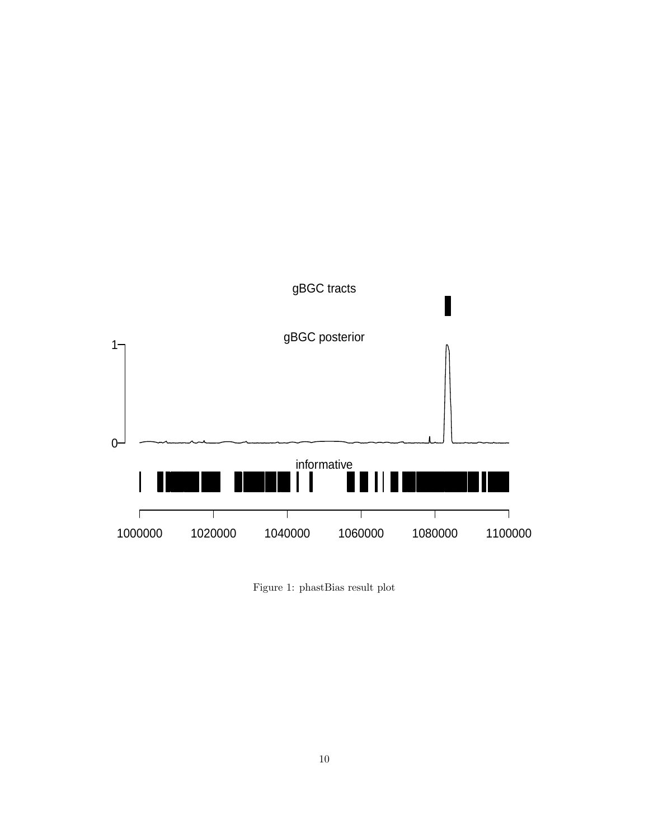

<span id="page-9-0"></span>Figure 1: phastBias result plot